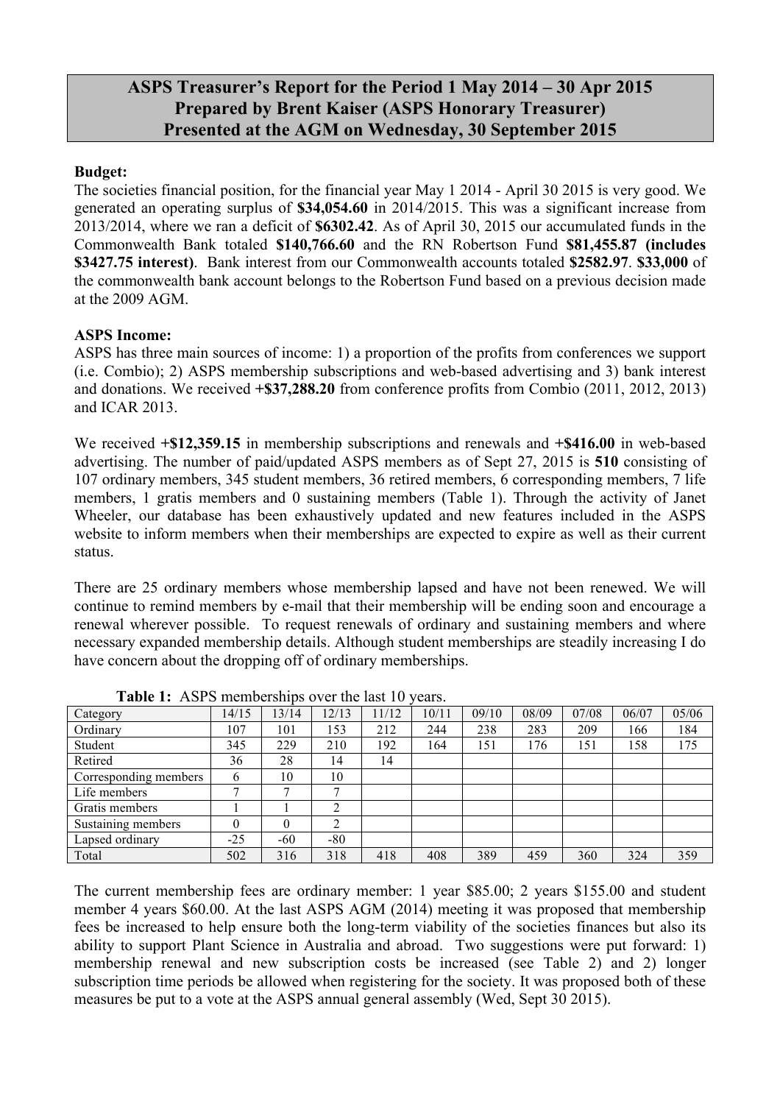## **ASPS Treasurer's Report for the Period 1 May 2014 – 30 Apr 2015 Prepared by Brent Kaiser (ASPS Honorary Treasurer) Presented at the AGM on Wednesday, 30 September 2015**

## **Budget:**

The societies financial position, for the financial year May 1 2014 - April 30 2015 is very good. We generated an operating surplus of **\$34,054.60** in 2014/2015. This was a significant increase from 2013/2014, where we ran a deficit of **\$6302.42**. As of April 30, 2015 our accumulated funds in the Commonwealth Bank totaled **\$140,766.60** and the RN Robertson Fund **\$81,455.87 (includes \$3427.75 interest)**. Bank interest from our Commonwealth accounts totaled **\$2582.97**. **\$33,000** of the commonwealth bank account belongs to the Robertson Fund based on a previous decision made at the 2009 AGM.

## **ASPS Income:**

ASPS has three main sources of income: 1) a proportion of the profits from conferences we support (i.e. Combio); 2) ASPS membership subscriptions and web-based advertising and 3) bank interest and donations. We received **+\$37,288.20** from conference profits from Combio (2011, 2012, 2013) and ICAR 2013.

We received **+\$12,359.15** in membership subscriptions and renewals and **+\$416.00** in web-based advertising. The number of paid/updated ASPS members as of Sept 27, 2015 is **510** consisting of 107 ordinary members, 345 student members, 36 retired members, 6 corresponding members, 7 life members, 1 gratis members and 0 sustaining members (Table 1). Through the activity of Janet Wheeler, our database has been exhaustively updated and new features included in the ASPS website to inform members when their memberships are expected to expire as well as their current status.

There are 25 ordinary members whose membership lapsed and have not been renewed. We will continue to remind members by e-mail that their membership will be ending soon and encourage a renewal wherever possible. To request renewals of ordinary and sustaining members and where necessary expanded membership details. Although student memberships are steadily increasing I do have concern about the dropping off of ordinary memberships.

| Table 1. There include ships over the fast To |       |       |       |      |       |       |       |       |       |       |
|-----------------------------------------------|-------|-------|-------|------|-------|-------|-------|-------|-------|-------|
| Category                                      | 14/15 | 13/14 | 12/13 | 1/12 | 10/11 | 09/10 | 08/09 | 07/08 | 06/07 | 05/06 |
| Ordinary                                      | 107   | 101   | 153   | 212  | 244   | 238   | 283   | 209   | 166   | 184   |
| Student                                       | 345   | 229   | 210   | 192  | 164   | 151   | 176   | 151   | 158   | 175   |
| Retired                                       | 36    | 28    | 14    | 14   |       |       |       |       |       |       |
| Corresponding members                         | 6     | 10    | 10    |      |       |       |       |       |       |       |
| Life members                                  |       |       | −     |      |       |       |       |       |       |       |
| Gratis members                                |       |       |       |      |       |       |       |       |       |       |
| Sustaining members                            |       |       | ◠     |      |       |       |       |       |       |       |
| Lapsed ordinary                               | $-25$ | -60   | $-80$ |      |       |       |       |       |       |       |
| Total                                         | 502   | 316   | 318   | 418  | 408   | 389   | 459   | 360   | 324   | 359   |

Table 1: ASPS memberships over the last 10 years.

The current membership fees are ordinary member: 1 year \$85.00; 2 years \$155.00 and student member 4 years \$60.00. At the last ASPS AGM (2014) meeting it was proposed that membership fees be increased to help ensure both the long-term viability of the societies finances but also its ability to support Plant Science in Australia and abroad. Two suggestions were put forward: 1) membership renewal and new subscription costs be increased (see Table 2) and 2) longer subscription time periods be allowed when registering for the society. It was proposed both of these measures be put to a vote at the ASPS annual general assembly (Wed, Sept 30 2015).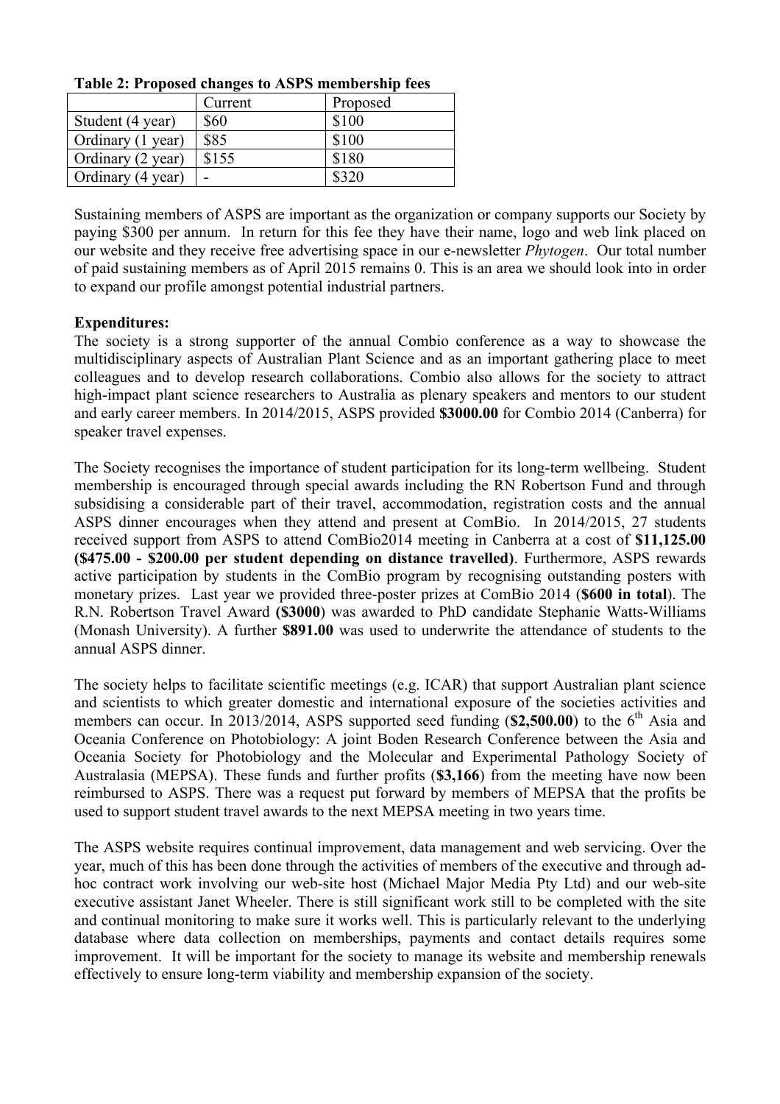| THE $\mathbf{F}$ . If uponed changes to their point simple $\mathbf{F}$ |         |          |  |  |  |
|-------------------------------------------------------------------------|---------|----------|--|--|--|
|                                                                         | Current | Proposed |  |  |  |
| Student (4 year)                                                        | \$60    | \$100    |  |  |  |
| Ordinary (1 year)                                                       | \$85    | \$100    |  |  |  |
| Ordinary (2 year)                                                       | \$155   | \$180    |  |  |  |
| Ordinary (4 year)                                                       |         | \$320    |  |  |  |

**Table 2: Proposed changes to ASPS membership fees**

Sustaining members of ASPS are important as the organization or company supports our Society by paying \$300 per annum. In return for this fee they have their name, logo and web link placed on our website and they receive free advertising space in our e-newsletter *Phytogen*. Our total number of paid sustaining members as of April 2015 remains 0. This is an area we should look into in order to expand our profile amongst potential industrial partners.

## **Expenditures:**

The society is a strong supporter of the annual Combio conference as a way to showcase the multidisciplinary aspects of Australian Plant Science and as an important gathering place to meet colleagues and to develop research collaborations. Combio also allows for the society to attract high-impact plant science researchers to Australia as plenary speakers and mentors to our student and early career members. In 2014/2015, ASPS provided **\$3000.00** for Combio 2014 (Canberra) for speaker travel expenses.

The Society recognises the importance of student participation for its long-term wellbeing. Student membership is encouraged through special awards including the RN Robertson Fund and through subsidising a considerable part of their travel, accommodation, registration costs and the annual ASPS dinner encourages when they attend and present at ComBio. In 2014/2015, 27 students received support from ASPS to attend ComBio2014 meeting in Canberra at a cost of **\$11,125.00 (\$475.00 - \$200.00 per student depending on distance travelled)**. Furthermore, ASPS rewards active participation by students in the ComBio program by recognising outstanding posters with monetary prizes. Last year we provided three-poster prizes at ComBio 2014 (**\$600 in total**). The R.N. Robertson Travel Award **(\$3000**) was awarded to PhD candidate Stephanie Watts-Williams (Monash University). A further **\$891.00** was used to underwrite the attendance of students to the annual ASPS dinner.

The society helps to facilitate scientific meetings (e.g. ICAR) that support Australian plant science and scientists to which greater domestic and international exposure of the societies activities and members can occur. In 2013/2014, ASPS supported seed funding (\$2,500.00) to the 6<sup>th</sup> Asia and Oceania Conference on Photobiology: A joint Boden Research Conference between the Asia and Oceania Society for Photobiology and the Molecular and Experimental Pathology Society of Australasia (MEPSA). These funds and further profits (**\$3,166**) from the meeting have now been reimbursed to ASPS. There was a request put forward by members of MEPSA that the profits be used to support student travel awards to the next MEPSA meeting in two years time.

The ASPS website requires continual improvement, data management and web servicing. Over the year, much of this has been done through the activities of members of the executive and through adhoc contract work involving our web-site host (Michael Major Media Pty Ltd) and our web-site executive assistant Janet Wheeler. There is still significant work still to be completed with the site and continual monitoring to make sure it works well. This is particularly relevant to the underlying database where data collection on memberships, payments and contact details requires some improvement. It will be important for the society to manage its website and membership renewals effectively to ensure long-term viability and membership expansion of the society.